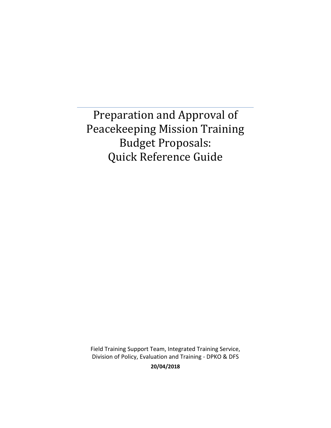Preparation and Approval of Peacekeeping Mission Training Budget Proposals: Quick Reference Guide

Field Training Support Team, Integrated Training Service, Division of Policy, Evaluation and Training - DPKO & DFS

**20/04/2018**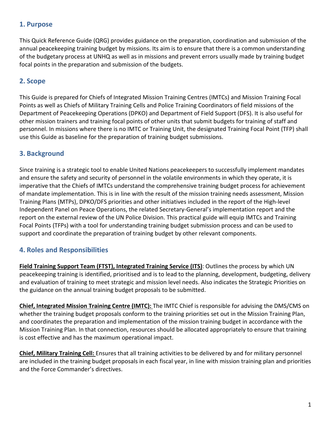### **1. Purpose**

This Quick Reference Guide (QRG) provides guidance on the preparation, coordination and submission of the annual peacekeeping training budget by missions. Its aim is to ensure that there is a common understanding of the budgetary process at UNHQ as well as in missions and prevent errors usually made by training budget focal points in the preparation and submission of the budgets.

### **2. Scope**

This Guide is prepared for Chiefs of Integrated Mission Training Centres (IMTCs) and Mission Training Focal Points as well as Chiefs of Military Training Cells and Police Training Coordinators of field missions of the Department of Peacekeeping Operations (DPKO) and Department of Field Support (DFS). It is also useful for other mission trainers and training focal points of other units that submit budgets for training of staff and personnel. In missions where there is no IMTC or Training Unit, the designated Training Focal Point (TFP) shall use this Guide as baseline for the preparation of training budget submissions.

### **3. Background**

Since training is a strategic tool to enable United Nations peacekeepers to successfully implement mandates and ensure the safety and security of personnel in the volatile environments in which they operate, it is imperative that the Chiefs of IMTCs understand the comprehensive training budget process for achievement of mandate implementation. This is in line with the result of the mission training needs assessment, Mission Training Plans (MTPs), DPKO/DFS priorities and other initiatives included in the report of the High-level Independent Panel on Peace Operations, the related Secretary-General's implementation report and the report on the external review of the UN Police Division. This practical guide will equip IMTCs and Training Focal Points (TFPs) with a tool for understanding training budget submission process and can be used to support and coordinate the preparation of training budget by other relevant components.

### **4. Roles and Responsibilities**

**Field Training Support Team (FTST), Integrated Training Service (ITS)**: Outlines the process by which UN peacekeeping training is identified, prioritised and is to lead to the planning, development, budgeting, delivery and evaluation of training to meet strategic and mission level needs. Also indicates the Strategic Priorities on the guidance on the annual training budget proposals to be submitted.

**Chief, Integrated Mission Training Centre (IMTC):** The IMTC Chief is responsible for advising the DMS/CMS on whether the training budget proposals conform to the training priorities set out in the Mission Training Plan, and coordinates the preparation and implementation of the mission training budget in accordance with the Mission Training Plan. In that connection, resources should be allocated appropriately to ensure that training is cost effective and has the maximum operational impact.

**Chief, Military Training Cell:** Ensures that all training activities to be delivered by and for military personnel are included in the training budget proposals in each fiscal year, in line with mission training plan and priorities and the Force Commander's directives.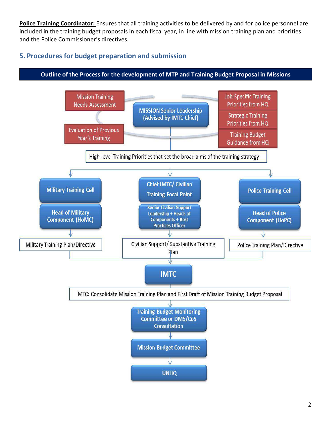**Police Training Coordinator:** Ensures that all training activities to be delivered by and for police personnel are included in the training budget proposals in each fiscal year, in line with mission training plan and priorities and the Police Commissioner's directives.

## **5. Procedures for budget preparation and submission**

#### **Outline of the Process for the development of MTP and Training Budget Proposal in Missions**

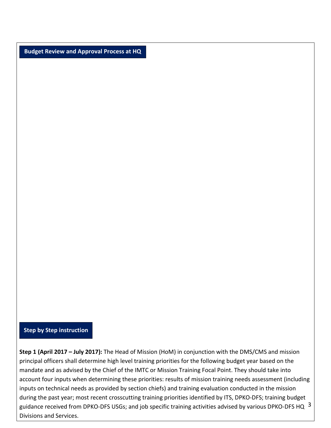**Budget Review and Approval Process at HQ** 

#### **Step by Step instruction**

guidance received from DPKO-DFS USGs; and job specific training activities advised by various DPKO-DFS HQ  $^{-3}$ **Step 1 (April 2017 – July 2017):** The Head of Mission (HoM) in conjunction with the DMS/CMS and mission principal officers shall determine high level training priorities for the following budget year based on the mandate and as advised by the Chief of the IMTC or Mission Training Focal Point. They should take into account four inputs when determining these priorities: results of mission training needs assessment (including inputs on technical needs as provided by section chiefs) and training evaluation conducted in the mission during the past year; most recent crosscutting training priorities identified by ITS, DPKO-DFS; training budget Divisions and Services.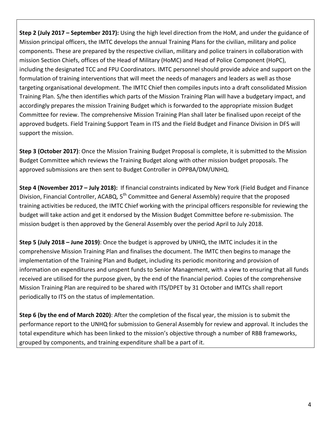**Step 2 (July 2017 – September 2017):** Using the high level direction from the HoM, and under the guidance of Mission principal officers, the IMTC develops the annual Training Plans for the civilian, military and police components. These are prepared by the respective civilian, military and police trainers in collaboration with mission Section Chiefs, offices of the Head of Military (HoMC) and Head of Police Component (HoPC), including the designated TCC and FPU Coordinators. IMTC personnel should provide advice and support on the formulation of training interventions that will meet the needs of managers and leaders as well as those targeting organisational development. The IMTC Chief then compiles inputs into a draft consolidated Mission Training Plan. S/he then identifies which parts of the Mission Training Plan will have a budgetary impact, and accordingly prepares the mission Training Budget which is forwarded to the appropriate mission Budget Committee for review. The comprehensive Mission Training Plan shall later be finalised upon receipt of the approved budgets. Field Training Support Team in ITS and the Field Budget and Finance Division in DFS will support the mission.

**Step 3 (October 2017)**: Once the Mission Training Budget Proposal is complete, it is submitted to the Mission Budget Committee which reviews the Training Budget along with other mission budget proposals. The approved submissions are then sent to Budget Controller in OPPBA/DM/UNHQ.

**Step 4 (November 2017 – July 2018):** If financial constraints indicated by New York (Field Budget and Finance Division, Financial Controller, ACABQ, 5<sup>th</sup> Committee and General Assembly) require that the proposed training activities be reduced, the IMTC Chief working with the principal officers responsible for reviewing the budget will take action and get it endorsed by the Mission Budget Committee before re-submission. The mission budget is then approved by the General Assembly over the period April to July 2018.

**Step 5 (July 2018 – June 2019)**: Once the budget is approved by UNHQ, the IMTC includes it in the comprehensive Mission Training Plan and finalises the document. The IMTC then begins to manage the implementation of the Training Plan and Budget, including its periodic monitoring and provision of information on expenditures and unspent funds to Senior Management, with a view to ensuring that all funds received are utilised for the purpose given, by the end of the financial period. Copies of the comprehensive Mission Training Plan are required to be shared with ITS/DPET by 31 October and IMTCs shall report periodically to ITS on the status of implementation.

**Step 6 (by the end of March 2020)**: After the completion of the fiscal year, the mission is to submit the performance report to the UNHQ for submission to General Assembly for review and approval. It includes the total expenditure which has been linked to the mission's objective through a number of RBB frameworks, grouped by components, and training expenditure shall be a part of it.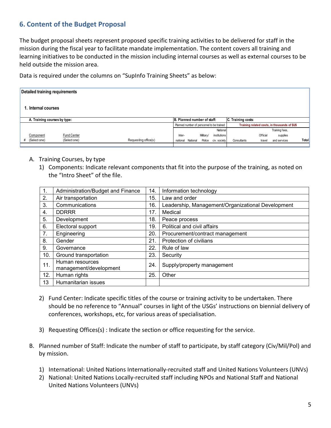# **6. Content of the Budget Proposal**

The budget proposal sheets represent proposed specific training activities to be delivered for staff in the mission during the fiscal year to facilitate mandate implementation. The content covers all training and learning initiatives to be conducted in the mission including internal courses as well as external courses to be held outside the mission area.

Data is required under the columns on "SupInfo Training Sheets" as below:

| Detailed training requirements |              |                      |                             |          |           |                                           |                    |          |                                              |       |
|--------------------------------|--------------|----------------------|-----------------------------|----------|-----------|-------------------------------------------|--------------------|----------|----------------------------------------------|-------|
| . Internal courses             |              |                      |                             |          |           |                                           |                    |          |                                              |       |
| A. Training courses by type:   |              |                      | B. Planned number of staff: |          |           |                                           | C. Training costs: |          |                                              |       |
|                                |              |                      |                             |          |           | Planned number of personnel to be trained |                    |          | Training related costs, in thousands of \$US |       |
|                                |              |                      |                             |          |           | National                                  |                    |          | Training fees,                               |       |
| Component                      | Fund Center  |                      | Inter-                      |          | Military/ | institutions                              |                    | Official | supplies                                     |       |
| (Select one)<br>#              | (Select one) | Requesting office(s) | national                    | National |           | Police civ. society                       | Consultants        | travel   | and services                                 | Total |

- A. Training Courses, by type
	- 1) Components: Indicate relevant components that fit into the purpose of the training, as noted on the "Intro Sheet" of the file.

| 1.  | Administration/Budget and Finance         | 14. | Information technology                            |
|-----|-------------------------------------------|-----|---------------------------------------------------|
| 2.  | Air transportation                        | 15. | Law and order                                     |
| 3.  | Communications                            | 16. | Leadership, Management/Organizational Development |
| 4.  | <b>DDRRR</b>                              | 17. | Medical                                           |
| 5.  | Development                               | 18. | Peace process                                     |
| 6.  | Electoral support                         | 19. | Political and civil affairs                       |
| 7.  | Engineering                               | 20. | Procurement/contract management                   |
| 8.  | Gender                                    | 21. | Protection of civilians                           |
| 9.  | Governance                                | 22. | Rule of law                                       |
| 10. | Ground transportation                     | 23. | Security                                          |
| 11. | Human resources<br>management/development | 24. | Supply/property management                        |
| 12. | Human rights                              | 25. | Other                                             |
| 13  | Humanitarian issues                       |     |                                                   |

- 2) Fund Center: Indicate specific titles of the course or training activity to be undertaken. There should be no reference to "Annual" courses in light of the USGs' instructions on biennial delivery of conferences, workshops, etc, for various areas of specialisation.
- 3) Requesting Offices(s) : Indicate the section or office requesting for the service.
- B. Planned number of Staff: Indicate the number of staff to participate, by staff category (Civ/Mil/Pol) and by mission.
	- 1) International: United Nations Internationally-recruited staff and United Nations Volunteers (UNVs)
	- 2) National: United Nations Locally-recruited staff including NPOs and National Staff and National United Nations Volunteers (UNVs)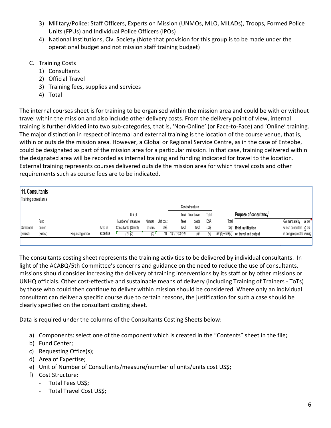- 3) Military/Police: Staff Officers, Experts on Mission (UNMOs, MLO, MILADs), Troops, Formed Police Units (FPUs) and Individual Police Officers (IPOs)
- 4) National Institutions, Civ. Society (Note that provision for this group is to be made under the operational budget and not mission staff training budget)
- C. Training Costs
	- 1) Consultants
	- 2) Official Travel
	- 3) Training fees, supplies and services
	- 4) Total

The internal courses sheet is for training to be organised within the mission area and could be with or without travel within the mission and also include other delivery costs. From the delivery point of view, internal training is further divided into two sub-categories, that is, 'Non-Online' (or Face-to-Face) and 'Online' training. The major distinction in respect of internal and external training is the location of the course venue, that is, within or outside the mission area. However, a Global or Regional Service Centre, as in the case of Entebbe, could be designated as part of the mission area for a particular mission. In that case, training delivered within the designated area will be recorded as internal training and funding indicated for travel to the location. External training represents courses delivered outside the mission area for which travel costs and other requirements such as course fees are to be indicated.

| 11. Consultants<br>Training consultants |          |                   |           |                      |          |            |                     |                    |       |                   |                                     |                           |
|-----------------------------------------|----------|-------------------|-----------|----------------------|----------|------------|---------------------|--------------------|-------|-------------------|-------------------------------------|---------------------------|
|                                         |          |                   |           |                      |          |            |                     | Cost structure     |       |                   |                                     |                           |
|                                         |          |                   |           | Unit of              |          |            |                     | Total Total travel | Total |                   | Purpose of consultancy <sup>1</sup> |                           |
|                                         | Fund     |                   |           | Number of measure    | Number   | Unit cost  | fees                | costs              | DSA   | <b>Total</b>      |                                     | $N$ ew<br>GA mandate by   |
| Component                               | center   |                   | Area of   | Consultants (Select) | of units | US\$       | US\$                | <b>USS</b>         | US\$  | US\$              | <b>Brief justification</b>          | which consultant C ont-   |
| (Select)                                | (Select) | Requesting office | expertise | 1) (2)               | 31       | $\sqrt{4}$ | $(5)=(1)^*(3)^*(4)$ |                    |       | $(8)=(5)+(6)+(7)$ | on travel and output                | is being requested inuing |
|                                         |          |                   |           |                      |          |            |                     |                    |       |                   |                                     |                           |

The consultants costing sheet represents the training activities to be delivered by individual consultants. In light of the ACABQ/5th Committee's concerns and guidance on the need to reduce the use of consultants, missions should consider increasing the delivery of training interventions by its staff or by other missions or UNHQ officials. Other cost-effective and sustainable means of delivery (including Training of Trainers - ToTs) by those who could then continue to deliver within mission should be considered. Where only an individual consultant can deliver a specific course due to certain reasons, the justification for such a case should be clearly specified on the consultant costing sheet.

Data is required under the columns of the Consultants Costing Sheets below:

- a) Components: select one of the component which is created in the "Contents" sheet in the file;
- b) Fund Center;
- c) Requesting Office(s);
- d) Area of Expertise;
- e) Unit of Number of Consultants/measure/number of units/units cost US\$;
- f) Cost Structure:
	- Total Fees US\$;
	- Total Travel Cost US\$;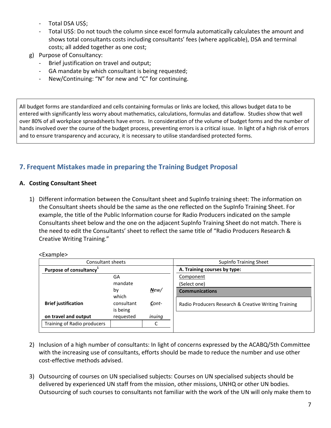- Total DSA US\$;
- Total US\$: Do not touch the column since excel formula automatically calculates the amount and shows total consultants costs including consultants' fees (where applicable), DSA and terminal costs; all added together as one cost;
- g) Purpose of Consultancy:
	- Brief justification on travel and output;
	- GA mandate by which consultant is being requested;
	- New/Continuing: "N" for new and "C" for continuing.

All budget forms are standardized and cells containing formulas or links are locked, this allows budget data to be entered with significantly less worry about mathematics, calculations, formulas and dataflow. Studies show that well over 80% of all workplace spreadsheets have errors. In consideration of the volume of budget forms and the number of hands involved over the course of the budget process, preventing errors is a critical issue. In light of a high risk of errors and to ensure transparency and accuracy, it is necessary to utilise standardised protected forms.

# **7. Frequent Mistakes made in preparing the Training Budget Proposal**

#### **A. Costing Consultant Sheet**

1) Different information between the Consultant sheet and SupInfo training sheet: The information on the Consultant sheets should be the same as the one reflected on the SupInfo Training Sheet. For example, the title of the Public Information course for Radio Producers indicated on the sample Consultants sheet below and the one on the adjacent SupInfo Training Sheet do not match. There is the need to edit the Consultants' sheet to reflect the same title of "Radio Producers Research & Creative Writing Training."

#### <Example>

| Consultant sheets                   |                        |        | <b>SupInfo Training Sheet</b>                        |  |  |
|-------------------------------------|------------------------|--------|------------------------------------------------------|--|--|
| Purpose of consultancy <sup>1</sup> |                        |        | A. Training courses by type:                         |  |  |
|                                     | GA                     |        | Component                                            |  |  |
|                                     | mandate                |        | (Select one)                                         |  |  |
|                                     | by<br>which            | New/   | <b>Communications</b>                                |  |  |
| <b>Brief justification</b>          | consultant<br>is being | Cont-  | Radio Producers Research & Creative Writing Training |  |  |
| on travel and output                | requested              | inuing |                                                      |  |  |
| Training of Radio producers         |                        |        |                                                      |  |  |
|                                     |                        |        |                                                      |  |  |

- 2) Inclusion of a high number of consultants: In light of concerns expressed by the ACABQ/5th Committee with the increasing use of consultants, efforts should be made to reduce the number and use other cost-effective methods advised.
- 3) Outsourcing of courses on UN specialised subjects: Courses on UN specialised subjects should be delivered by experienced UN staff from the mission, other missions, UNHQ or other UN bodies. Outsourcing of such courses to consultants not familiar with the work of the UN will only make them to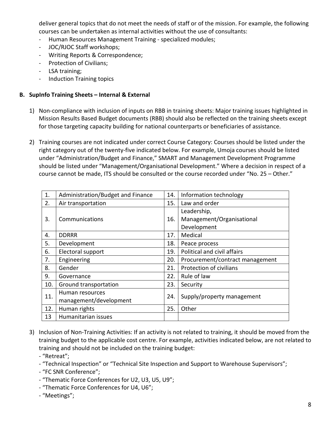deliver general topics that do not meet the needs of staff or of the mission. For example, the following courses can be undertaken as internal activities without the use of consultants:

- Human Resources Management Training specialized modules;
- JOC/RJOC Staff workshops;
- Writing Reports & Correspondence;
- Protection of Civilians;
- LSA training;
- Induction Training topics

#### **B. SupInfo Training Sheets – Internal & External**

- 1) Non-compliance with inclusion of inputs on RBB in training sheets: Major training issues highlighted in Mission Results Based Budget documents (RBB) should also be reflected on the training sheets except for those targeting capacity building for national counterparts or beneficiaries of assistance.
- 2) Training courses are not indicated under correct Course Category: Courses should be listed under the right category out of the twenty-five indicated below. For example, Umoja courses should be listed under "Administration/Budget and Finance," SMART and Management Development Programme should be listed under "Management/Organisational Development." Where a decision in respect of a course cannot be made, ITS should be consulted or the course recorded under "No. 25 – Other."

| 1.  | Administration/Budget and Finance |     | Information technology          |  |  |
|-----|-----------------------------------|-----|---------------------------------|--|--|
| 2.  | Air transportation                | 15. | Law and order                   |  |  |
|     |                                   |     | Leadership,                     |  |  |
| 3.  | Communications                    |     | Management/Organisational       |  |  |
|     |                                   |     | Development                     |  |  |
| 4.  | <b>DDRRR</b>                      | 17. | Medical                         |  |  |
| 5.  | Development                       | 18. | Peace process                   |  |  |
| 6.  | Electoral support                 | 19. | Political and civil affairs     |  |  |
| 7.  | Engineering                       | 20. | Procurement/contract management |  |  |
| 8.  | Gender                            | 21. | Protection of civilians         |  |  |
| 9.  | Governance                        | 22. | Rule of law                     |  |  |
| 10. | Ground transportation             | 23. | Security                        |  |  |
| 11. | Human resources                   | 24. |                                 |  |  |
|     | management/development            |     | Supply/property management      |  |  |
| 12. | Human rights                      | 25. | Other                           |  |  |
| 13  | Humanitarian issues               |     |                                 |  |  |

- 3) Inclusion of Non-Training Activities: If an activity is not related to training, it should be moved from the training budget to the applicable cost centre. For example, activities indicated below, are not related to training and should not be included on the training budget:
	- "Retreat";

- "Technical Inspection" or "Technical Site Inspection and Support to Warehouse Supervisors";

- "FC SNR Conference";

- "Thematic Force Conferences for U2, U3, U5, U9";
- "Thematic Force Conferences for U4, U6";

- "Meetings";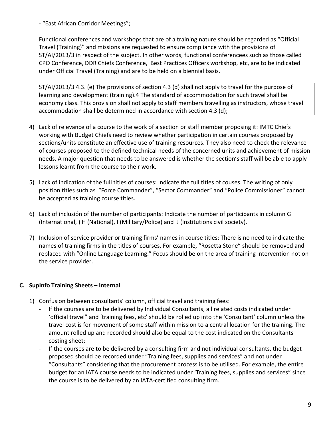- "East African Corridor Meetings";

Functional conferences and workshops that are of a training nature should be regarded as "Official Travel (Training)" and missions are requested to ensure compliance with the provisions of ST/AI/2013/3 in respect of the subject. In other words, functional conferencees such as those called CPO Conference, DDR Chiefs Conference, Best Practices Officers workshop, etc, are to be indicated under Official Travel (Training) and are to be held on a biennial basis.

ST/AI/2013/3 4.3. (e) The provisions of section 4.3 (d) shall not apply to travel for the purpose of learning and development (training).4 The standard of accommodation for such travel shall be economy class. This provision shall not apply to staff members travelling as instructors, whose travel accommodation shall be determined in accordance with section 4.3 (d);

- 4) Lack of relevance of a course to the work of a section or staff member proposing it: IMTC Chiefs working with Budget Chiefs need to review whether participation in certain courses proposed by sections/units constitute an effective use of training resources. They also need to check the relevance of courses proposed to the defined technical needs of the concerned units and achievement of mission needs. A major question that needs to be answered is whether the section's staff will be able to apply lessons learnt from the course to their work.
- 5) Lack of indication of the full titles of courses: Indicate the full titles of couses. The writing of only position titles such as "Force Commander", "Sector Commander" and "Police Commissioner" cannot be accepted as training course titles.
- 6) Lack of inclusión of the number of participants: Indicate the number of participants in column G (International, ) H (National), I (Military/Police) and J (Institutions civil society).
- 7) Inclusion of service provider or training firms' names in course titles: There is no need to indicate the names of training firms in the titles of courses. For example, "Rosetta Stone" should be removed and replaced with "Online Language Learning." Focus should be on the area of training intervention not on the service provider.

### **C. SupInfo Training Sheets – Internal**

- 1) Confusion between consultants' column, official travel and training fees:
	- If the courses are to be delivered by Individual Consultants, all related costs indicated under 'official travel" and 'training fees, etc' should be rolled up into the 'Consultant' column unless the travel cost is for movement of some staff within mission to a central location for the training. The amount rolled up and recorded should also be equal to the cost indicated on the Consultants costing sheet;
	- If the courses are to be delivered by a consulting firm and not individual consultants, the budget proposed should be recorded under "Training fees, supplies and services" and not under "Consultants" considering that the procurement process is to be utilised. For example, the entire budget for an IATA course needs to be indicated under 'Training fees, supplies and services" since the course is to be delivered by an IATA-certified consulting firm.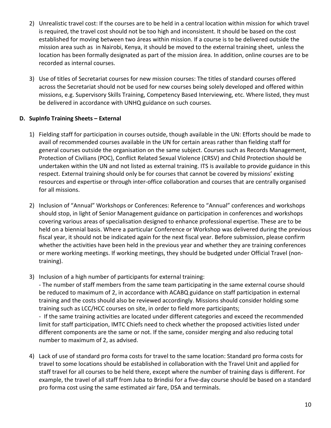- 2) Unrealistic travel cost: If the courses are to be held in a central location within mission for which travel is required, the travel cost should not be too high and inconsistent. It should be based on the cost established for moving between two áreas within mission. If a course is to be delivered outside the mission area such as in Nairobi, Kenya, it should be moved to the external training sheet, unless the location has been formally designated as part of the mission área. In addition, online courses are to be recorded as internal courses.
- 3) Use of titles of Secretariat courses for new mission courses: The titles of standard courses offered across the Secretariat should not be used for new courses being solely developed and offered within missions, e.g. Supervisory Skills Training, Competency Based Interviewing, etc. Where listed, they must be delivered in accordance with UNHQ guidance on such courses.

#### **D. SupInfo Training Sheets – External**

- 1) Fielding staff for participation in courses outside, though available in the UN: Efforts should be made to avail of recommended courses available in the UN for certain areas rather than fielding staff for general courses outside the organisation on the same subject. Courses such as Records Management, Protection of Civilians (POC), Conflict Related Sexual Violence (CRSV) and Child Protection should be undertaken within the UN and not listed as external training. ITS is available to provide guidance in this respect. External training should only be for courses that cannot be covered by missions' existing resources and expertise or through inter-office collaboration and courses that are centrally organised for all missions.
- 2) Inclusion of "Annual" Workshops or Conferences: Reference to "Annual" conferences and workshops should stop, in light of Senior Management guidance on participation in conferences and workshops covering various areas of specialisation designed to enhance professional expertise. These are to be held on a biennial basis. Where a particular Conference or Workshop was delivered during the previous fiscal year, it should not be indicated again for the next fiscal year. Before submission, please confirm whether the activities have been held in the previous year and whether they are training conferences or mere working meetings. If working meetings, they should be budgeted under Official Travel (nontraining).
- 3) Inclusion of a high number of participants for external training:

- The number of staff members from the same team participating in the same external course should be reduced to maximum of 2, in accordance with ACABQ guidance on staff participation in external training and the costs should also be reviewed accordingly. Missions should consider holding some training such as LCC/HCC courses on site, in order to field more participants;

- If the same training activities are located under different categories and exceed the recommended limit for staff participation, IMTC Chiefs need to check whether the proposed activities listed under different components are the same or not. If the same, consider merging and also reducing total number to maximum of 2, as advised.

4) Lack of use of standard pro forma costs for travel to the same location: Standard pro forma costs for travel to some locations should be established in collaboration with the Travel Unit and applied for staff travel for all courses to be held there, except where the number of training days is different. For example, the travel of all staff from Juba to Brindisi for a five-day course should be based on a standard pro forma cost using the same estimated air fare, DSA and terminals.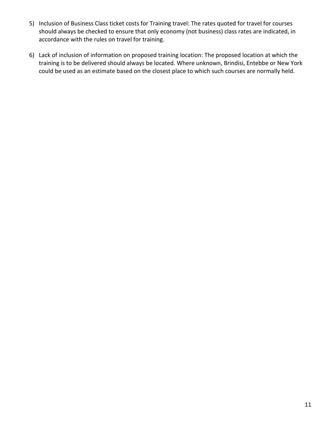- 5) Inclusion of Business Class ticket costs for Training travel: The rates quoted for travel for courses should always be checked to ensure that only economy (not business) class rates are indicated, in accordance with the rules on travel for training.
- 6) Lack of inclusion of information on proposed training location: The proposed location at which the training is to be delivered should always be located. Where unknown, Brindisi, Entebbe or New York could be used as an estimate based on the closest place to which such courses are normally held.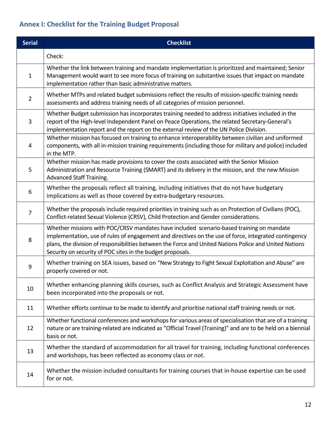# **Annex I: Checklist for the Training Budget Proposal**

| <b>Serial</b>  | <b>Checklist</b>                                                                                                                                                                                                                                                                                                                                                          |
|----------------|---------------------------------------------------------------------------------------------------------------------------------------------------------------------------------------------------------------------------------------------------------------------------------------------------------------------------------------------------------------------------|
|                | Check:                                                                                                                                                                                                                                                                                                                                                                    |
| 1              | Whether the link between training and mandate implementation is prioritized and maintained; Senior<br>Management would want to see more focus of training on substantive issues that impact on mandate<br>implementation rather than basic administrative matters.                                                                                                        |
| $\overline{2}$ | Whether MTPs and related budget submissions reflect the results of mission-specific training needs<br>assessments and address training needs of all categories of mission personnel.                                                                                                                                                                                      |
| 3              | Whether Budget submission has incorporates training needed to address initiatives included in the<br>report of the High-level Independent Panel on Peace Operations, the related Secretary-General's<br>implementation report and the report on the external review of the UN Police Division.                                                                            |
| 4              | Whether mission has focused on training to enhance interoperability between civilian and uniformed<br>components, with all in-mission training requirements (including those for military and police) included<br>in the MTP.                                                                                                                                             |
| 5              | Whether mission has made provisions to cover the costs associated with the Senior Mission<br>Administration and Resource Training (SMART) and its delivery in the mission, and the new Mission<br>Advanced Staff Training.                                                                                                                                                |
| 6              | Whether the proposals reflect all training, including initiatives that do not have budgetary<br>implications as well as those covered by extra-budgetary resources.                                                                                                                                                                                                       |
| $\overline{7}$ | Whether the proposals include required priorities in training such as on Protection of Civilians (POC),<br>Conflict-related Sexual Violence (CRSV), Child Protection and Gender considerations.                                                                                                                                                                           |
| 8              | Whether missions with POC/CRSV mandates have included scenario-based training on mandate<br>implementation, use of rules of engagement and directives on the use of force, integrated contingency<br>plans, the division of responsibilities between the Force and United Nations Police and United Nations<br>Security on security of POC sites in the budget proposals. |
| 9              | Whether training on SEA issues, based on "New Strategy to Fight Sexual Exploitation and Abuse" are<br>properly covered or not.                                                                                                                                                                                                                                            |
| 10             | Whether enhancing planning skills courses, such as Conflict Analysis and Strategic Assessment have<br>been incorporated into the proposals or not.                                                                                                                                                                                                                        |
| 11             | Whether efforts continue to be made to identify and prioritise national staff training needs or not.                                                                                                                                                                                                                                                                      |
| 12             | Whether functional conferences and workshops for various areas of specialisation that are of a training<br>nature or are training-related are indicated as "Official Travel (Training)" and are to be held on a biennial<br>basis or not.                                                                                                                                 |
| 13             | Whether the standard of accommodation for all travel for training, including functional conferences<br>and workshops, has been reflected as economy class or not.                                                                                                                                                                                                         |
| 14             | Whether the mission included consultants for training courses that in-house expertise can be used<br>for or not.                                                                                                                                                                                                                                                          |